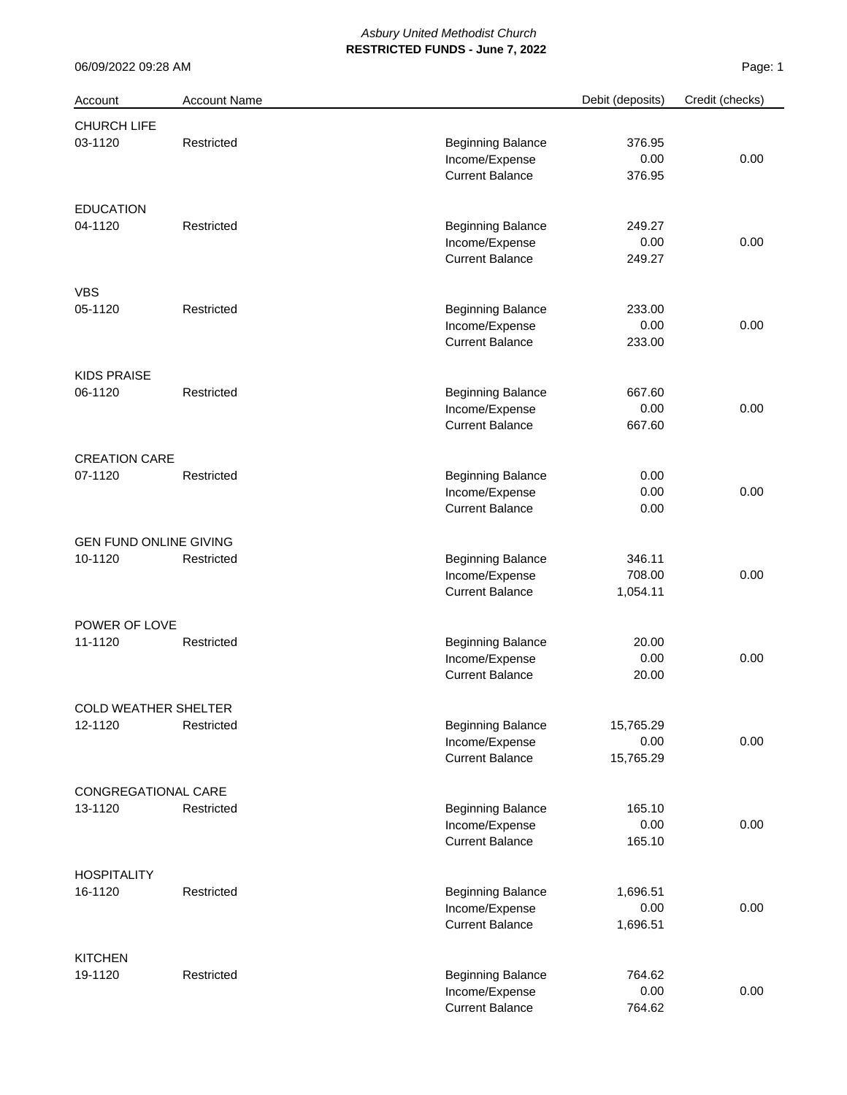| Account                       | <b>Account Name</b> |                          | Debit (deposits) | Credit (checks) |
|-------------------------------|---------------------|--------------------------|------------------|-----------------|
| CHURCH LIFE                   |                     |                          |                  |                 |
| 03-1120                       | Restricted          | <b>Beginning Balance</b> | 376.95           |                 |
|                               |                     | Income/Expense           | 0.00             | 0.00            |
|                               |                     | <b>Current Balance</b>   | 376.95           |                 |
| <b>EDUCATION</b>              |                     |                          |                  |                 |
| 04-1120                       | Restricted          | <b>Beginning Balance</b> | 249.27           |                 |
|                               |                     | Income/Expense           | 0.00             | 0.00            |
|                               |                     | <b>Current Balance</b>   | 249.27           |                 |
| <b>VBS</b>                    |                     |                          |                  |                 |
| 05-1120                       | Restricted          | <b>Beginning Balance</b> | 233.00           |                 |
|                               |                     | Income/Expense           | 0.00             | 0.00            |
|                               |                     | <b>Current Balance</b>   | 233.00           |                 |
| <b>KIDS PRAISE</b>            |                     |                          |                  |                 |
| 06-1120                       | Restricted          | <b>Beginning Balance</b> | 667.60           |                 |
|                               |                     | Income/Expense           | 0.00             | 0.00            |
|                               |                     | <b>Current Balance</b>   | 667.60           |                 |
| <b>CREATION CARE</b>          |                     |                          |                  |                 |
| 07-1120                       | Restricted          | <b>Beginning Balance</b> | 0.00             |                 |
|                               |                     | Income/Expense           | 0.00             | 0.00            |
|                               |                     | <b>Current Balance</b>   | 0.00             |                 |
| <b>GEN FUND ONLINE GIVING</b> |                     |                          |                  |                 |
| 10-1120                       | Restricted          | <b>Beginning Balance</b> | 346.11           |                 |
|                               |                     | Income/Expense           | 708.00           | 0.00            |
|                               |                     | <b>Current Balance</b>   | 1,054.11         |                 |
| POWER OF LOVE                 |                     |                          |                  |                 |
| 11-1120                       | Restricted          | <b>Beginning Balance</b> | 20.00            |                 |
|                               |                     | Income/Expense           | 0.00             | 0.00            |
|                               |                     | <b>Current Balance</b>   | 20.00            |                 |
| COLD WEATHER SHELTER          |                     |                          |                  |                 |
| 12-1120                       | Restricted          | <b>Beginning Balance</b> | 15,765.29        |                 |
|                               |                     | Income/Expense           | 0.00             | 0.00            |
|                               |                     | <b>Current Balance</b>   | 15,765.29        |                 |
| CONGREGATIONAL CARE           |                     |                          |                  |                 |
| 13-1120                       | Restricted          | <b>Beginning Balance</b> | 165.10           |                 |
|                               |                     | Income/Expense           | 0.00             | 0.00            |
|                               |                     | <b>Current Balance</b>   | 165.10           |                 |
| <b>HOSPITALITY</b>            |                     |                          |                  |                 |
| 16-1120                       | Restricted          | <b>Beginning Balance</b> | 1,696.51         |                 |
|                               |                     | Income/Expense           | 0.00             | 0.00            |
|                               |                     | <b>Current Balance</b>   | 1,696.51         |                 |
| <b>KITCHEN</b>                |                     |                          |                  |                 |
| 19-1120                       | Restricted          | <b>Beginning Balance</b> | 764.62           |                 |
|                               |                     | Income/Expense           | 0.00             | 0.00            |
|                               |                     | <b>Current Balance</b>   | 764.62           |                 |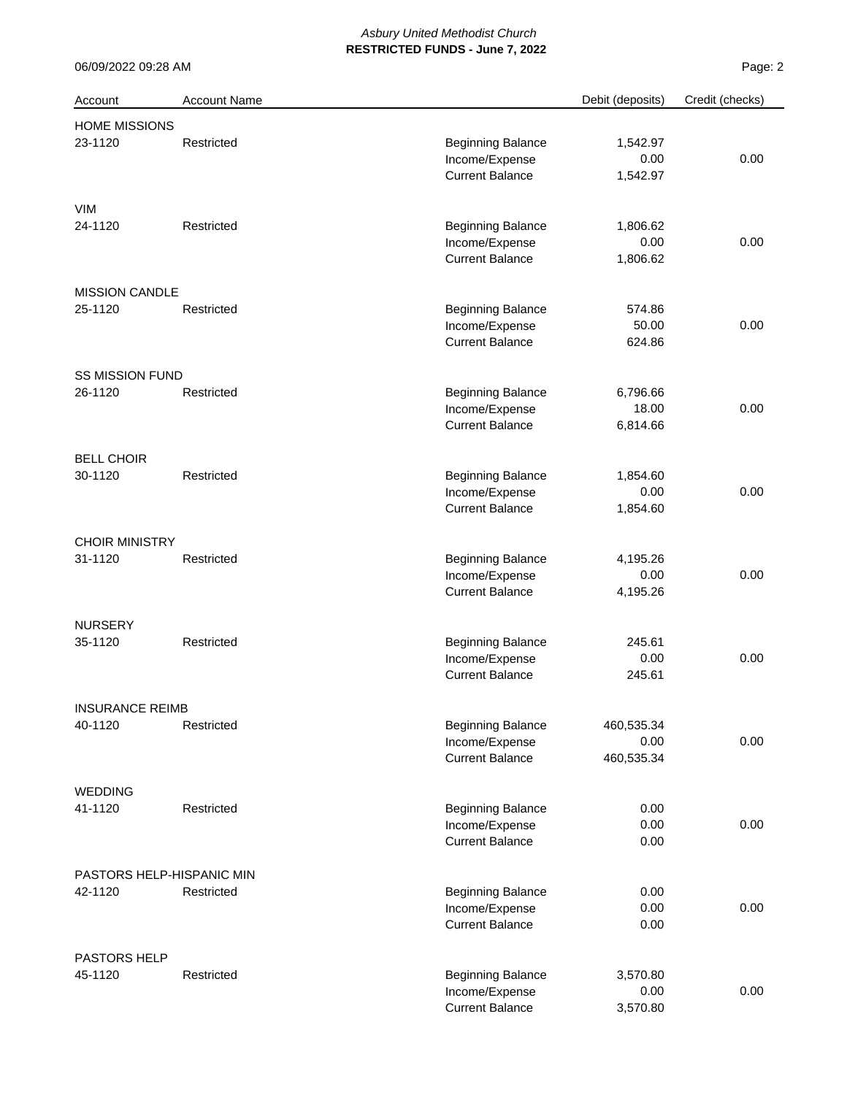| Account                   | <b>Account Name</b> |                          | Debit (deposits) | Credit (checks) |
|---------------------------|---------------------|--------------------------|------------------|-----------------|
| <b>HOME MISSIONS</b>      |                     |                          |                  |                 |
| 23-1120                   | Restricted          | <b>Beginning Balance</b> | 1,542.97         |                 |
|                           |                     | Income/Expense           | 0.00             | 0.00            |
|                           |                     | <b>Current Balance</b>   | 1,542.97         |                 |
| <b>VIM</b>                |                     |                          |                  |                 |
| 24-1120                   | Restricted          | <b>Beginning Balance</b> | 1,806.62         |                 |
|                           |                     | Income/Expense           | 0.00             | 0.00            |
|                           |                     | <b>Current Balance</b>   | 1,806.62         |                 |
| <b>MISSION CANDLE</b>     |                     |                          |                  |                 |
| 25-1120                   | Restricted          | <b>Beginning Balance</b> | 574.86           |                 |
|                           |                     | Income/Expense           | 50.00            | 0.00            |
|                           |                     | <b>Current Balance</b>   | 624.86           |                 |
| <b>SS MISSION FUND</b>    |                     |                          |                  |                 |
| 26-1120                   | Restricted          | <b>Beginning Balance</b> | 6,796.66         |                 |
|                           |                     | Income/Expense           | 18.00            | 0.00            |
|                           |                     | <b>Current Balance</b>   | 6,814.66         |                 |
| <b>BELL CHOIR</b>         |                     |                          |                  |                 |
| 30-1120                   | Restricted          | <b>Beginning Balance</b> | 1,854.60         |                 |
|                           |                     | Income/Expense           | 0.00             | 0.00            |
|                           |                     | <b>Current Balance</b>   | 1,854.60         |                 |
| <b>CHOIR MINISTRY</b>     |                     |                          |                  |                 |
| 31-1120                   | Restricted          | <b>Beginning Balance</b> | 4,195.26         |                 |
|                           |                     | Income/Expense           | 0.00             | 0.00            |
|                           |                     | <b>Current Balance</b>   | 4,195.26         |                 |
| <b>NURSERY</b>            |                     |                          |                  |                 |
| 35-1120                   | Restricted          | <b>Beginning Balance</b> | 245.61           |                 |
|                           |                     | Income/Expense           | 0.00             | 0.00            |
|                           |                     | <b>Current Balance</b>   | 245.61           |                 |
| <b>INSURANCE REIMB</b>    |                     |                          |                  |                 |
| 40-1120                   | Restricted          | <b>Beginning Balance</b> | 460,535.34       |                 |
|                           |                     | Income/Expense           | 0.00             | 0.00            |
|                           |                     | <b>Current Balance</b>   | 460,535.34       |                 |
| <b>WEDDING</b>            |                     |                          |                  |                 |
| 41-1120                   | Restricted          | <b>Beginning Balance</b> | 0.00             |                 |
|                           |                     | Income/Expense           | 0.00             | 0.00            |
|                           |                     | <b>Current Balance</b>   | 0.00             |                 |
| PASTORS HELP-HISPANIC MIN |                     |                          |                  |                 |
| 42-1120                   | Restricted          | <b>Beginning Balance</b> | 0.00             |                 |
|                           |                     | Income/Expense           | 0.00             | 0.00            |
|                           |                     | <b>Current Balance</b>   | 0.00             |                 |
| PASTORS HELP              |                     |                          |                  |                 |
| 45-1120                   | Restricted          | <b>Beginning Balance</b> | 3,570.80         |                 |
|                           |                     | Income/Expense           | 0.00             | 0.00            |
|                           |                     | <b>Current Balance</b>   | 3,570.80         |                 |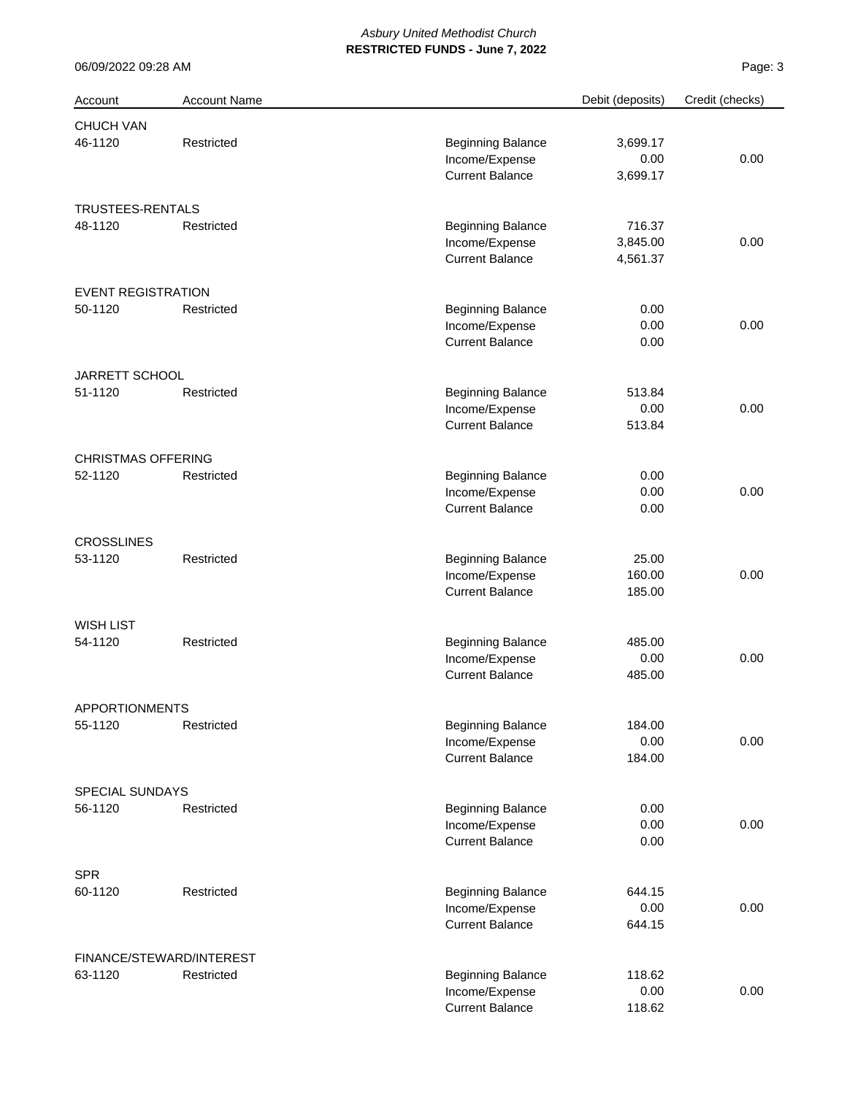| Account                   | <b>Account Name</b>      |                          | Debit (deposits) | Credit (checks) |
|---------------------------|--------------------------|--------------------------|------------------|-----------------|
| CHUCH VAN                 |                          |                          |                  |                 |
| 46-1120                   | Restricted               | <b>Beginning Balance</b> | 3,699.17         |                 |
|                           |                          | Income/Expense           | 0.00             | 0.00            |
|                           |                          | <b>Current Balance</b>   | 3,699.17         |                 |
| TRUSTEES-RENTALS          |                          |                          |                  |                 |
| 48-1120                   | Restricted               | <b>Beginning Balance</b> | 716.37           |                 |
|                           |                          | Income/Expense           | 3,845.00         | 0.00            |
|                           |                          | <b>Current Balance</b>   | 4,561.37         |                 |
| <b>EVENT REGISTRATION</b> |                          |                          |                  |                 |
| 50-1120                   | Restricted               | <b>Beginning Balance</b> | 0.00             |                 |
|                           |                          | Income/Expense           | 0.00             | 0.00            |
|                           |                          | <b>Current Balance</b>   | 0.00             |                 |
| JARRETT SCHOOL            |                          |                          |                  |                 |
| 51-1120                   | Restricted               | <b>Beginning Balance</b> | 513.84           |                 |
|                           |                          | Income/Expense           | 0.00             | 0.00            |
|                           |                          | <b>Current Balance</b>   | 513.84           |                 |
| <b>CHRISTMAS OFFERING</b> |                          |                          |                  |                 |
| 52-1120                   | Restricted               | <b>Beginning Balance</b> | 0.00             |                 |
|                           |                          | Income/Expense           | 0.00             | 0.00            |
|                           |                          | <b>Current Balance</b>   | 0.00             |                 |
| <b>CROSSLINES</b>         |                          |                          |                  |                 |
| 53-1120                   | Restricted               | <b>Beginning Balance</b> | 25.00            |                 |
|                           |                          | Income/Expense           | 160.00           | 0.00            |
|                           |                          | <b>Current Balance</b>   | 185.00           |                 |
| <b>WISH LIST</b>          |                          |                          |                  |                 |
| 54-1120                   | Restricted               | <b>Beginning Balance</b> | 485.00           |                 |
|                           |                          | Income/Expense           | 0.00             | 0.00            |
|                           |                          | <b>Current Balance</b>   | 485.00           |                 |
| APPORTIONMENTS            |                          |                          |                  |                 |
| 55-1120                   | Restricted               | <b>Beginning Balance</b> | 184.00           |                 |
|                           |                          | Income/Expense           | 0.00             | 0.00            |
|                           |                          | <b>Current Balance</b>   | 184.00           |                 |
| <b>SPECIAL SUNDAYS</b>    |                          |                          |                  |                 |
| 56-1120                   | Restricted               | <b>Beginning Balance</b> | 0.00             |                 |
|                           |                          | Income/Expense           | 0.00             | 0.00            |
|                           |                          | <b>Current Balance</b>   | 0.00             |                 |
| <b>SPR</b>                |                          |                          |                  |                 |
| 60-1120                   | Restricted               | <b>Beginning Balance</b> | 644.15           |                 |
|                           |                          | Income/Expense           | 0.00             | 0.00            |
|                           |                          | <b>Current Balance</b>   | 644.15           |                 |
|                           | FINANCE/STEWARD/INTEREST |                          |                  |                 |
| 63-1120                   | Restricted               | <b>Beginning Balance</b> | 118.62           |                 |
|                           |                          | Income/Expense           | 0.00             | 0.00            |
|                           |                          | <b>Current Balance</b>   | 118.62           |                 |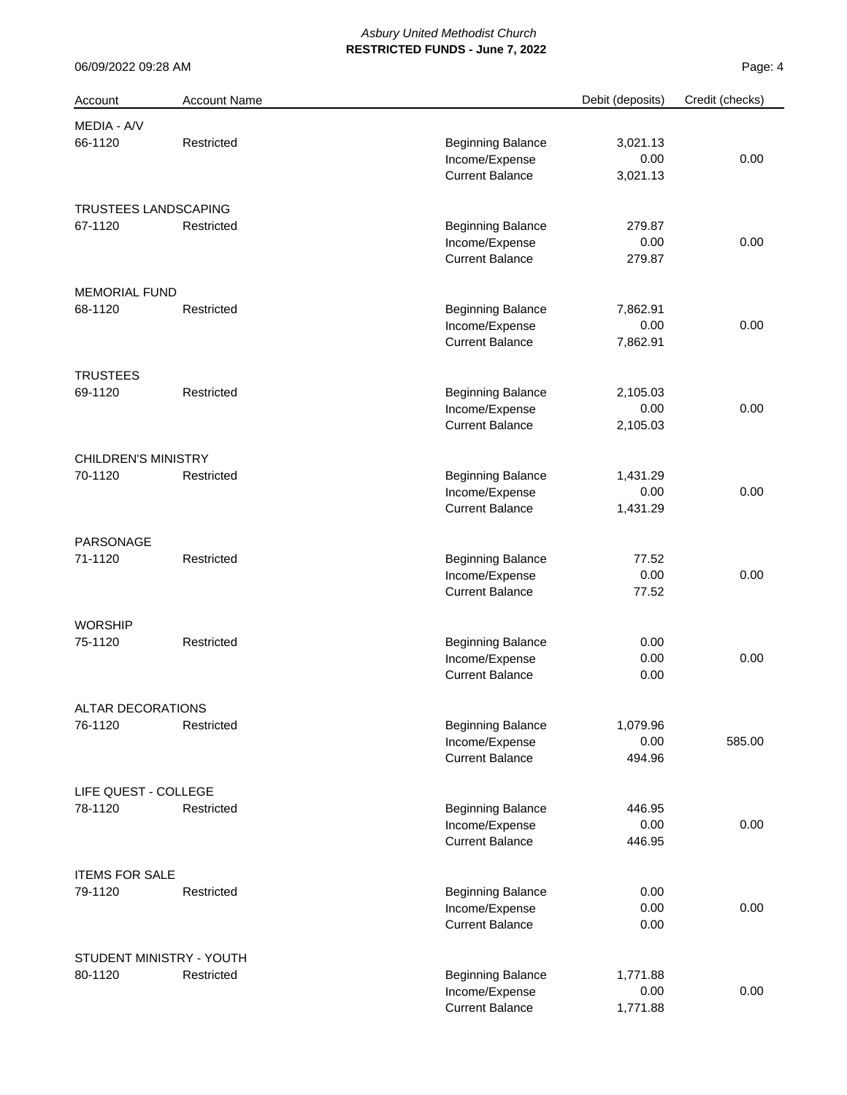| Account                    | <b>Account Name</b>      |                          | Debit (deposits) | Credit (checks) |
|----------------------------|--------------------------|--------------------------|------------------|-----------------|
| MEDIA - A/V                |                          |                          |                  |                 |
| 66-1120                    | Restricted               | <b>Beginning Balance</b> | 3,021.13         |                 |
|                            |                          | Income/Expense           | 0.00             | 0.00            |
|                            |                          | <b>Current Balance</b>   | 3,021.13         |                 |
| TRUSTEES LANDSCAPING       |                          |                          |                  |                 |
| 67-1120                    | Restricted               | <b>Beginning Balance</b> | 279.87           |                 |
|                            |                          | Income/Expense           | 0.00             | 0.00            |
|                            |                          | <b>Current Balance</b>   | 279.87           |                 |
| <b>MEMORIAL FUND</b>       |                          |                          |                  |                 |
| 68-1120                    | Restricted               | <b>Beginning Balance</b> | 7,862.91         |                 |
|                            |                          | Income/Expense           | 0.00             | 0.00            |
|                            |                          | <b>Current Balance</b>   | 7,862.91         |                 |
| <b>TRUSTEES</b>            |                          |                          |                  |                 |
| 69-1120                    | Restricted               | <b>Beginning Balance</b> | 2,105.03         |                 |
|                            |                          | Income/Expense           | 0.00             | 0.00            |
|                            |                          | <b>Current Balance</b>   | 2,105.03         |                 |
| <b>CHILDREN'S MINISTRY</b> |                          |                          |                  |                 |
| 70-1120                    | Restricted               | <b>Beginning Balance</b> | 1,431.29         |                 |
|                            |                          | Income/Expense           | 0.00             | 0.00            |
|                            |                          | <b>Current Balance</b>   | 1,431.29         |                 |
| PARSONAGE                  |                          |                          |                  |                 |
| 71-1120                    | Restricted               | <b>Beginning Balance</b> | 77.52            |                 |
|                            |                          | Income/Expense           | 0.00             | 0.00            |
|                            |                          | <b>Current Balance</b>   | 77.52            |                 |
| <b>WORSHIP</b>             |                          |                          |                  |                 |
| 75-1120                    | Restricted               | <b>Beginning Balance</b> | 0.00             |                 |
|                            |                          | Income/Expense           | 0.00             | 0.00            |
|                            |                          | <b>Current Balance</b>   | 0.00             |                 |
| ALTAR DECORATIONS          |                          |                          |                  |                 |
| 76-1120                    | Restricted               | <b>Beginning Balance</b> | 1,079.96         |                 |
|                            |                          | Income/Expense           | 0.00             | 585.00          |
|                            |                          | <b>Current Balance</b>   | 494.96           |                 |
| LIFE QUEST - COLLEGE       |                          |                          |                  |                 |
| 78-1120                    | Restricted               | <b>Beginning Balance</b> | 446.95           |                 |
|                            |                          | Income/Expense           | 0.00             | 0.00            |
|                            |                          | <b>Current Balance</b>   | 446.95           |                 |
| <b>ITEMS FOR SALE</b>      |                          |                          |                  |                 |
| 79-1120                    | Restricted               | <b>Beginning Balance</b> | 0.00             |                 |
|                            |                          | Income/Expense           | 0.00             | 0.00            |
|                            |                          | <b>Current Balance</b>   | 0.00             |                 |
|                            | STUDENT MINISTRY - YOUTH |                          |                  |                 |
| 80-1120                    | Restricted               | <b>Beginning Balance</b> | 1,771.88         |                 |
|                            |                          | Income/Expense           | 0.00             | 0.00            |
|                            |                          | <b>Current Balance</b>   | 1,771.88         |                 |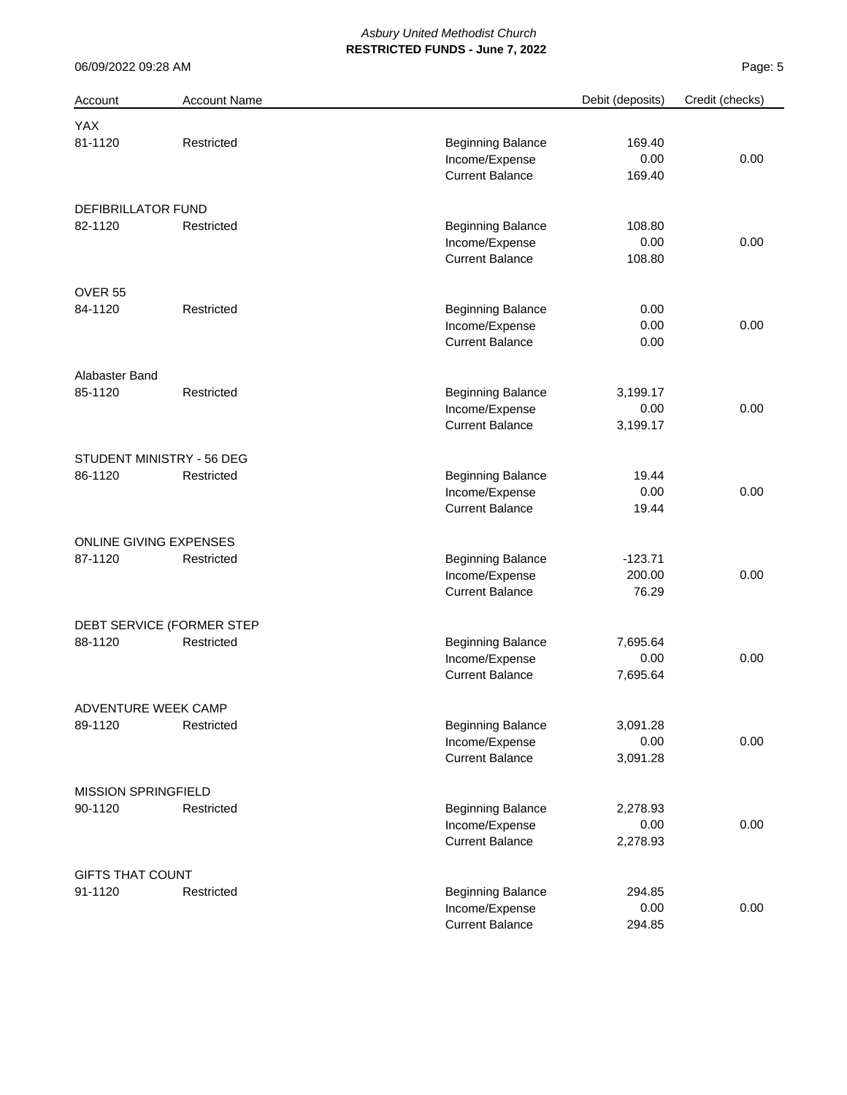| Account                    | <b>Account Name</b>       |                          | Debit (deposits) | Credit (checks) |
|----------------------------|---------------------------|--------------------------|------------------|-----------------|
| YAX                        |                           |                          |                  |                 |
| 81-1120                    | Restricted                | <b>Beginning Balance</b> | 169.40           |                 |
|                            |                           | Income/Expense           | 0.00             | 0.00            |
|                            |                           | <b>Current Balance</b>   | 169.40           |                 |
| DEFIBRILLATOR FUND         |                           |                          |                  |                 |
| 82-1120                    | Restricted                | <b>Beginning Balance</b> | 108.80           |                 |
|                            |                           | Income/Expense           | 0.00             | 0.00            |
|                            |                           | <b>Current Balance</b>   | 108.80           |                 |
| OVER 55                    |                           |                          |                  |                 |
| 84-1120                    | Restricted                | <b>Beginning Balance</b> | 0.00             |                 |
|                            |                           | Income/Expense           | 0.00             | 0.00            |
|                            |                           | <b>Current Balance</b>   | 0.00             |                 |
| Alabaster Band             |                           |                          |                  |                 |
| 85-1120                    | Restricted                | <b>Beginning Balance</b> | 3,199.17         |                 |
|                            |                           | Income/Expense           | 0.00             | 0.00            |
|                            |                           | <b>Current Balance</b>   | 3,199.17         |                 |
|                            | STUDENT MINISTRY - 56 DEG |                          |                  |                 |
| 86-1120                    | Restricted                | <b>Beginning Balance</b> | 19.44            |                 |
|                            |                           | Income/Expense           | 0.00             | 0.00            |
|                            |                           | <b>Current Balance</b>   | 19.44            |                 |
|                            | ONLINE GIVING EXPENSES    |                          |                  |                 |
| 87-1120                    | Restricted                | <b>Beginning Balance</b> | $-123.71$        |                 |
|                            |                           | Income/Expense           | 200.00           | 0.00            |
|                            |                           | <b>Current Balance</b>   | 76.29            |                 |
|                            | DEBT SERVICE (FORMER STEP |                          |                  |                 |
| 88-1120                    | Restricted                | <b>Beginning Balance</b> | 7,695.64         |                 |
|                            |                           | Income/Expense           | 0.00             | 0.00            |
|                            |                           | <b>Current Balance</b>   | 7,695.64         |                 |
| ADVENTURE WEEK CAMP        |                           |                          |                  |                 |
| 89-1120                    | Restricted                | <b>Beginning Balance</b> | 3,091.28         |                 |
|                            |                           | Income/Expense           | 0.00             | 0.00            |
|                            |                           | <b>Current Balance</b>   | 3,091.28         |                 |
| <b>MISSION SPRINGFIELD</b> |                           |                          |                  |                 |
| 90-1120                    | Restricted                | <b>Beginning Balance</b> | 2,278.93         |                 |
|                            |                           | Income/Expense           | 0.00             | 0.00            |
|                            |                           | <b>Current Balance</b>   | 2,278.93         |                 |
| <b>GIFTS THAT COUNT</b>    |                           |                          |                  |                 |
| 91-1120                    | Restricted                | <b>Beginning Balance</b> | 294.85           |                 |
|                            |                           | Income/Expense           | 0.00             | 0.00            |
|                            |                           | <b>Current Balance</b>   | 294.85           |                 |